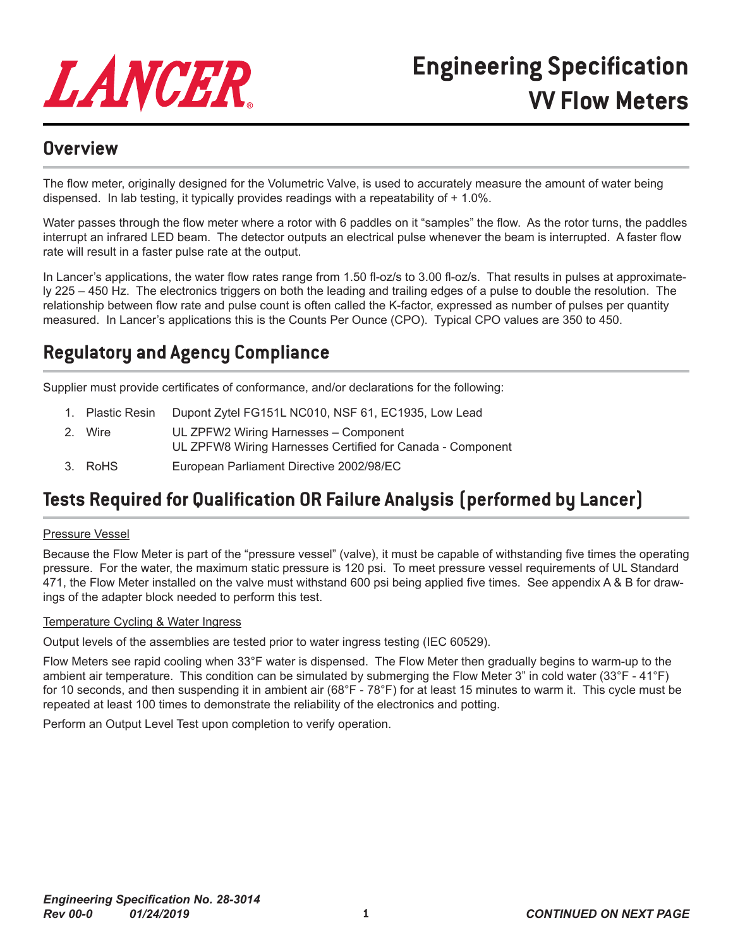

### **Overview**

The flow meter, originally designed for the Volumetric Valve, is used to accurately measure the amount of water being dispensed. In lab testing, it typically provides readings with a repeatability of + 1.0%.

Water passes through the flow meter where a rotor with 6 paddles on it "samples" the flow. As the rotor turns, the paddles interrupt an infrared LED beam. The detector outputs an electrical pulse whenever the beam is interrupted. A faster flow rate will result in a faster pulse rate at the output.

In Lancer's applications, the water flow rates range from 1.50 fl-oz/s to 3.00 fl-oz/s. That results in pulses at approximately 225 – 450 Hz. The electronics triggers on both the leading and trailing edges of a pulse to double the resolution. The relationship between flow rate and pulse count is often called the K-factor, expressed as number of pulses per quantity measured. In Lancer's applications this is the Counts Per Ounce (CPO). Typical CPO values are 350 to 450.

# **Regulatory and Agency Compliance**

Supplier must provide certificates of conformance, and/or declarations for the following:

- 1. Plastic Resin Dupont Zytel FG151L NC010, NSF 61, EC1935, Low Lead
- 2. Wire UL ZPFW2 Wiring Harnesses Component UL ZPFW8 Wiring Harnesses Certified for Canada - Component
- 3. RoHS European Parliament Directive 2002/98/EC

## **Tests Required for Qualification OR Failure Analysis (performed by Lancer)**

#### Pressure Vessel

Because the Flow Meter is part of the "pressure vessel" (valve), it must be capable of withstanding five times the operating pressure. For the water, the maximum static pressure is 120 psi. To meet pressure vessel requirements of UL Standard 471, the Flow Meter installed on the valve must withstand 600 psi being applied five times. See appendix A & B for drawings of the adapter block needed to perform this test.

#### Temperature Cycling & Water Ingress

Output levels of the assemblies are tested prior to water ingress testing (IEC 60529).

Flow Meters see rapid cooling when 33°F water is dispensed. The Flow Meter then gradually begins to warm-up to the ambient air temperature. This condition can be simulated by submerging the Flow Meter 3" in cold water (33°F - 41°F) for 10 seconds, and then suspending it in ambient air (68°F - 78°F) for at least 15 minutes to warm it. This cycle must be repeated at least 100 times to demonstrate the reliability of the electronics and potting.

Perform an Output Level Test upon completion to verify operation.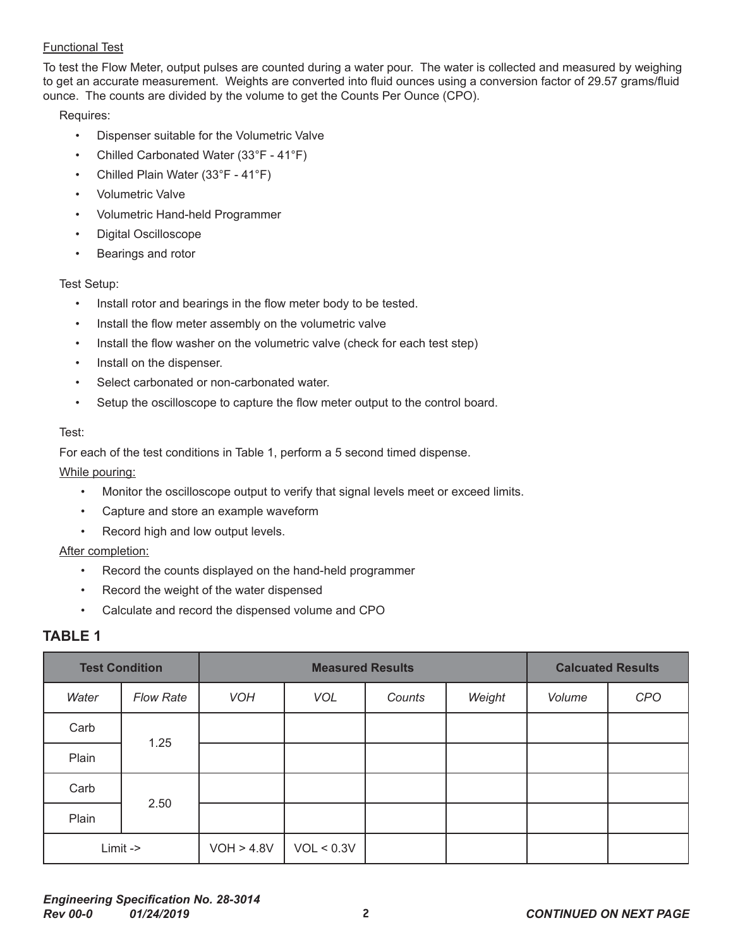#### Functional Test

To test the Flow Meter, output pulses are counted during a water pour. The water is collected and measured by weighing to get an accurate measurement. Weights are converted into fluid ounces using a conversion factor of 29.57 grams/fluid ounce. The counts are divided by the volume to get the Counts Per Ounce (CPO).

Requires:

- Dispenser suitable for the Volumetric Valve
- Chilled Carbonated Water (33°F 41°F)
- Chilled Plain Water (33°F 41°F)
- Volumetric Valve
- Volumetric Hand-held Programmer
- Digital Oscilloscope
- Bearings and rotor

#### Test Setup:

- Install rotor and bearings in the flow meter body to be tested.
- Install the flow meter assembly on the volumetric valve
- Install the flow washer on the volumetric valve (check for each test step)
- Install on the dispenser.
- Select carbonated or non-carbonated water.
- Setup the oscilloscope to capture the flow meter output to the control board.

#### Test:

For each of the test conditions in Table 1, perform a 5 second timed dispense.

#### While pouring:

- Monitor the oscilloscope output to verify that signal levels meet or exceed limits.
- Capture and store an example waveform
- Record high and low output levels.

#### After completion:

- Record the counts displayed on the hand-held programmer
- Record the weight of the water dispensed
- Calculate and record the dispensed volume and CPO

### **TABLE 1**

| <b>Test Condition</b> |                  | <b>Measured Results</b> |            |        |        | <b>Calcuated Results</b> |     |
|-----------------------|------------------|-------------------------|------------|--------|--------|--------------------------|-----|
| Water                 | <b>Flow Rate</b> | <b>VOH</b>              | <b>VOL</b> | Counts | Weight | Volume                   | CPO |
| Carb                  | 1.25             |                         |            |        |        |                          |     |
| Plain                 |                  |                         |            |        |        |                          |     |
| Carb                  | 2.50             |                         |            |        |        |                          |     |
| Plain                 |                  |                         |            |        |        |                          |     |
| Limit->               |                  | VOH > 4.8V              | VOL < 0.3V |        |        |                          |     |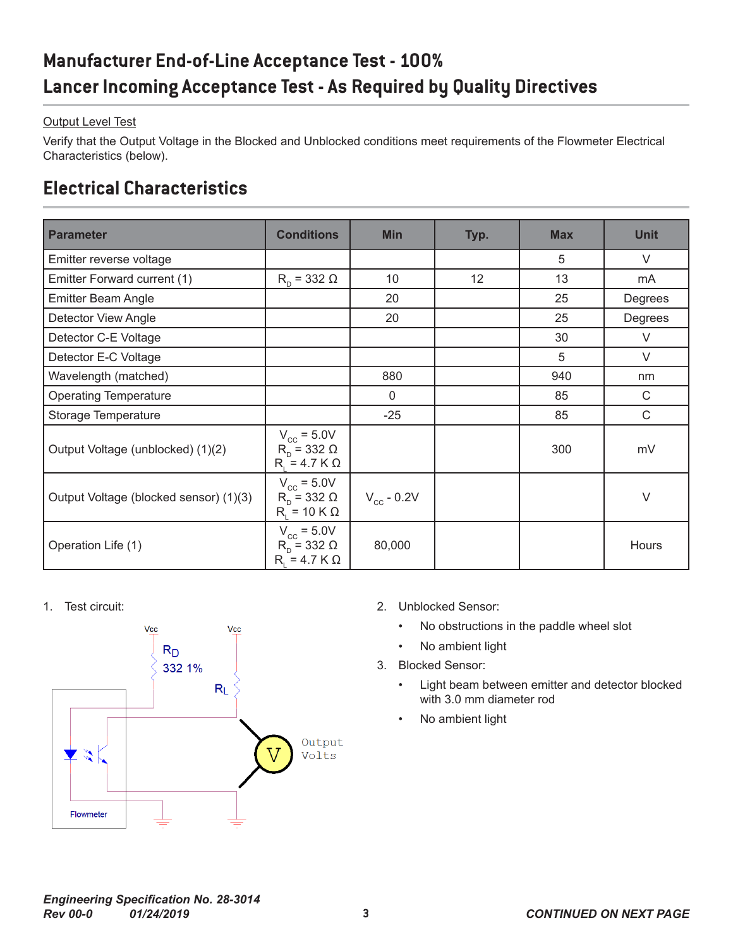# **Manufacturer End-of-Line Acceptance Test - 100% Lancer Incoming Acceptance Test - As Required by Quality Directives**

### **Output Level Test**

Verify that the Output Voltage in the Blocked and Unblocked conditions meet requirements of the Flowmeter Electrical Characteristics (below).

## **Electrical Characteristics**

| <b>Parameter</b>                       | <b>Conditions</b>                                                        | <b>Min</b>      | Typ. | <b>Max</b> | <b>Unit</b> |
|----------------------------------------|--------------------------------------------------------------------------|-----------------|------|------------|-------------|
| Emitter reverse voltage                |                                                                          |                 |      | 5          | V           |
| Emitter Forward current (1)            | $R_p = 332 \Omega$                                                       | 10              | 12   | 13         | mA          |
| <b>Emitter Beam Angle</b>              |                                                                          | 20              |      | 25         | Degrees     |
| Detector View Angle                    |                                                                          | 20              |      | 25         | Degrees     |
| Detector C-E Voltage                   |                                                                          |                 |      | 30         | V           |
| Detector E-C Voltage                   |                                                                          |                 |      | 5          | V           |
| Wavelength (matched)                   |                                                                          | 880             |      | 940        | nm          |
| <b>Operating Temperature</b>           |                                                                          | $\mathbf 0$     |      | 85         | $\mathsf C$ |
| Storage Temperature                    |                                                                          | $-25$           |      | 85         | $\mathsf C$ |
| Output Voltage (unblocked) (1)(2)      | $V_{cc}$ = 5.0V<br>$R_{\text{D}}$ = 332 $\Omega$<br>$R_i = 4.7 K \Omega$ |                 |      | 300        | mV          |
| Output Voltage (blocked sensor) (1)(3) | $V_{cc}$ = 5.0V<br>$R_p = 332 \Omega$<br>$R_i = 10 K \Omega$             | $V_{cc}$ - 0.2V |      |            | $\vee$      |
| Operation Life (1)                     | $V_{cc}$ = 5.0V<br>$R_p = 332 \Omega$<br>$R_i = 4.7 K \Omega$            | 80,000          |      |            | Hours       |



- 1. Test circuit: 2. Unblocked Sensor:
	- No obstructions in the paddle wheel slot
	- No ambient light
	- 3. Blocked Sensor:
		- Light beam between emitter and detector blocked with 3.0 mm diameter rod
		- No ambient light